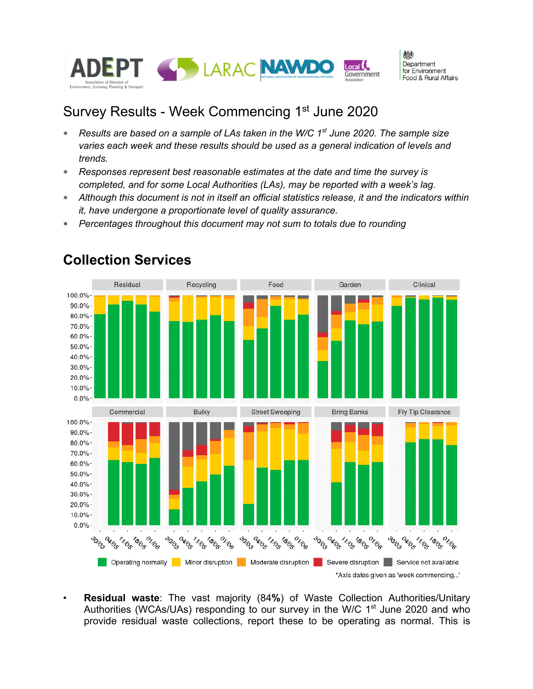

# Survey Results - Week Commencing 1<sup>st</sup> June 2020

- \* *Results are based on a sample of LAs taken in the W/C 1st June 2020. The sample size varies each week and these results should be used as a general indication of levels and trends.*
- \* *Responses represent best reasonable estimates at the date and time the survey is completed, and for some Local Authorities (LAs), may be reported with a week's lag.*
- \* *Although this document is not in itself an official statistics release, it and the indicators within it, have undergone a proportionate level of quality assurance.*
- \* *Percentages throughout this document may not sum to totals due to rounding*



### **Collection Services**

• **Residual waste**: The vast majority (84**%**) of Waste Collection Authorities/Unitary Authorities (WCAs/UAs) responding to our survey in the W/C  $1<sup>st</sup>$  June 2020 and who provide residual waste collections, report these to be operating as normal. This is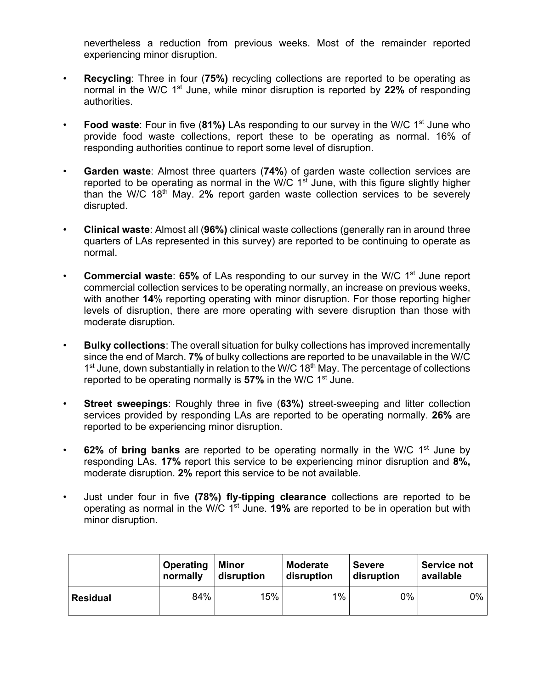nevertheless a reduction from previous weeks. Most of the remainder reported experiencing minor disruption.

- **Recycling**: Three in four (**75%)** recycling collections are reported to be operating as normal in the W/C 1<sup>st</sup> June, while minor disruption is reported by 22% of responding authorities.
- **Food waste**: Four in five (81%) LAs responding to our survey in the W/C 1<sup>st</sup> June who provide food waste collections, report these to be operating as normal. 16% of responding authorities continue to report some level of disruption.
- **Garden waste**: Almost three quarters (**74%**) of garden waste collection services are reported to be operating as normal in the W/C  $1<sup>st</sup>$  June, with this figure slightly higher than the W/C 18th May. 2**%** report garden waste collection services to be severely disrupted.
- **Clinical waste**: Almost all (**96%)** clinical waste collections (generally ran in around three quarters of LAs represented in this survey) are reported to be continuing to operate as normal.
- **Commercial waste: 65%** of LAs responding to our survey in the W/C 1<sup>st</sup> June report commercial collection services to be operating normally, an increase on previous weeks, with another **14**% reporting operating with minor disruption. For those reporting higher levels of disruption, there are more operating with severe disruption than those with moderate disruption.
- **Bulky collections**: The overall situation for bulky collections has improved incrementally since the end of March. **7%** of bulky collections are reported to be unavailable in the W/C 1<sup>st</sup> June, down substantially in relation to the W/C 18<sup>th</sup> May. The percentage of collections reported to be operating normally is **57%** in the W/C 1<sup>st</sup> June.
- **Street sweepings**: Roughly three in five (**63%)** street-sweeping and litter collection services provided by responding LAs are reported to be operating normally. **26%** are reported to be experiencing minor disruption.
- **62%** of **bring banks** are reported to be operating normally in the W/C 1st June by responding LAs. **17%** report this service to be experiencing minor disruption and **8%,** moderate disruption. **2%** report this service to be not available.
- Just under four in five **(78%) fly-tipping clearance** collections are reported to be operating as normal in the W/C 1st June. **19%** are reported to be in operation but with minor disruption.

|                 | <b>Operating</b> | <b>Minor</b> | <b>Moderate</b> | <b>Severe</b> | <b>Service not</b> |  |
|-----------------|------------------|--------------|-----------------|---------------|--------------------|--|
|                 | normally         | disruption   | disruption      | disruption    | available          |  |
| <b>Residual</b> | 84%              | 15%          | $1\%$           | $0\%$         | 0%                 |  |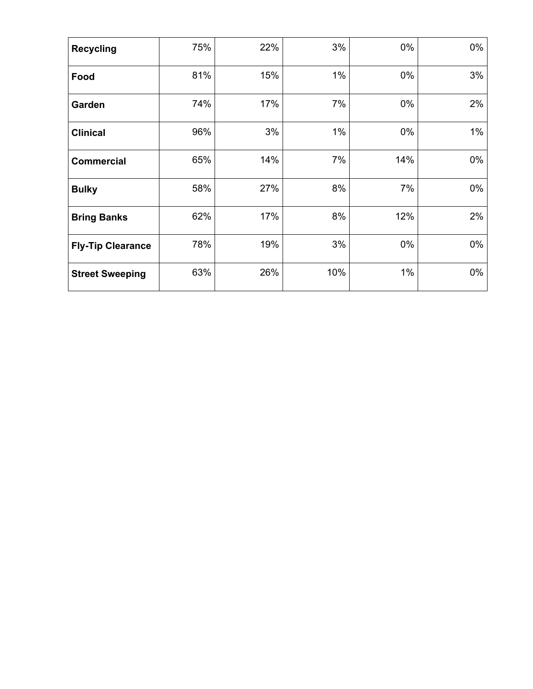| <b>Recycling</b>         | 75% | 22% | 3%    | $0\%$ | 0%    |
|--------------------------|-----|-----|-------|-------|-------|
| Food                     | 81% | 15% | $1\%$ | $0\%$ | 3%    |
| Garden                   | 74% | 17% | 7%    | 0%    | 2%    |
| <b>Clinical</b>          | 96% | 3%  | $1\%$ | 0%    | $1\%$ |
| <b>Commercial</b>        | 65% | 14% | 7%    | 14%   | 0%    |
| <b>Bulky</b>             | 58% | 27% | 8%    | 7%    | 0%    |
| <b>Bring Banks</b>       | 62% | 17% | 8%    | 12%   | 2%    |
| <b>Fly-Tip Clearance</b> | 78% | 19% | 3%    | $0\%$ | 0%    |
| <b>Street Sweeping</b>   | 63% | 26% | 10%   | $1\%$ | 0%    |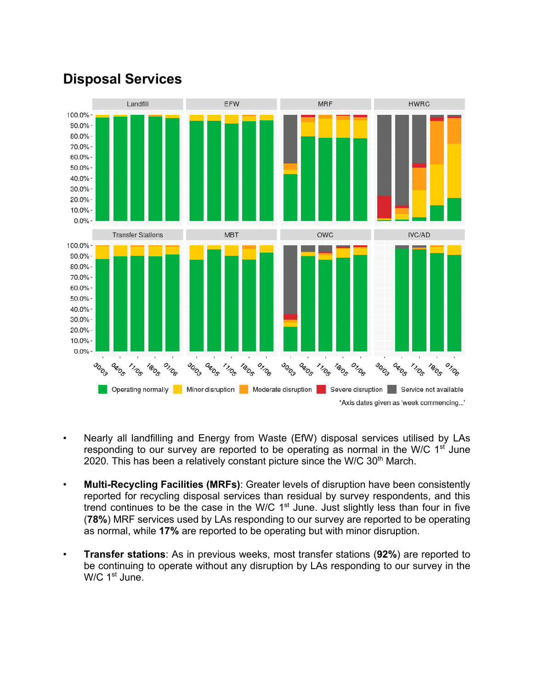

# **Disposal Services**

- Nearly all landfilling and Energy from Waste (EfW) disposal services utilised by LAs responding to our survey are reported to be operating as normal in the W/C  $1<sup>st</sup>$  June 2020. This has been a relatively constant picture since the W/C  $30<sup>th</sup>$  March.
- **Multi-Recycling Facilities (MRFs)**: Greater levels of disruption have been consistently reported for recycling disposal services than residual by survey respondents, and this trend continues to be the case in the W/C 1<sup>st</sup> June. Just slightly less than four in five (**78%**) MRF services used by LAs responding to our survey are reported to be operating as normal, while **17%** are reported to be operating but with minor disruption.
- **Transfer stations**: As in previous weeks, most transfer stations (**92%**) are reported to be continuing to operate without any disruption by LAs responding to our survey in the W/C 1<sup>st</sup> June.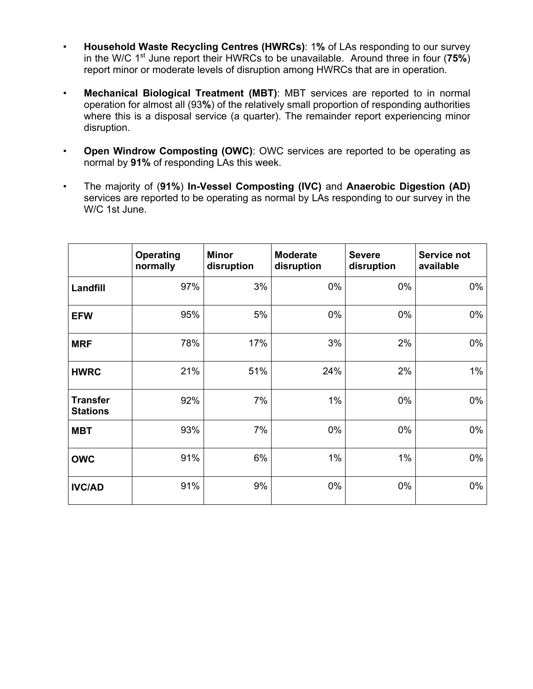- **Household Waste Recycling Centres (HWRCs)**: 1**%** of LAs responding to our survey in the W/C 1st June report their HWRCs to be unavailable. Around three in four (**75%**) report minor or moderate levels of disruption among HWRCs that are in operation.
- **Mechanical Biological Treatment (MBT)**: MBT services are reported to in normal operation for almost all (93**%**) of the relatively small proportion of responding authorities where this is a disposal service (a quarter). The remainder report experiencing minor disruption.
- **Open Windrow Composting (OWC)**: OWC services are reported to be operating as normal by **91%** of responding LAs this week.
- The majority of (**91%**) **In-Vessel Composting (IVC)** and **Anaerobic Digestion (AD)** services are reported to be operating as normal by LAs responding to our survey in the W/C 1st June.

|                                    | <b>Operating</b><br>normally | <b>Minor</b><br>disruption | <b>Moderate</b><br>disruption | <b>Severe</b><br>disruption | Service not<br>available |
|------------------------------------|------------------------------|----------------------------|-------------------------------|-----------------------------|--------------------------|
| Landfill                           | 97%                          | 3%                         | $0\%$                         | 0%                          | $0\%$                    |
| <b>EFW</b>                         | 95%                          | 5%                         | 0%                            | 0%                          | 0%                       |
| <b>MRF</b>                         | 78%                          | 17%                        | 3%                            | 2%                          | 0%                       |
| <b>HWRC</b>                        | 21%                          | 51%                        | 24%                           | 2%                          | $1\%$                    |
| <b>Transfer</b><br><b>Stations</b> | 92%                          | 7%                         | 1%                            | $0\%$                       | 0%                       |
| <b>MBT</b>                         | 93%                          | 7%                         | 0%                            | 0%                          | 0%                       |
| <b>OWC</b>                         | 91%                          | 6%                         | 1%                            | $1\%$                       | 0%                       |
| <b>IVC/AD</b>                      | 91%                          | 9%                         | 0%                            | 0%                          | $0\%$                    |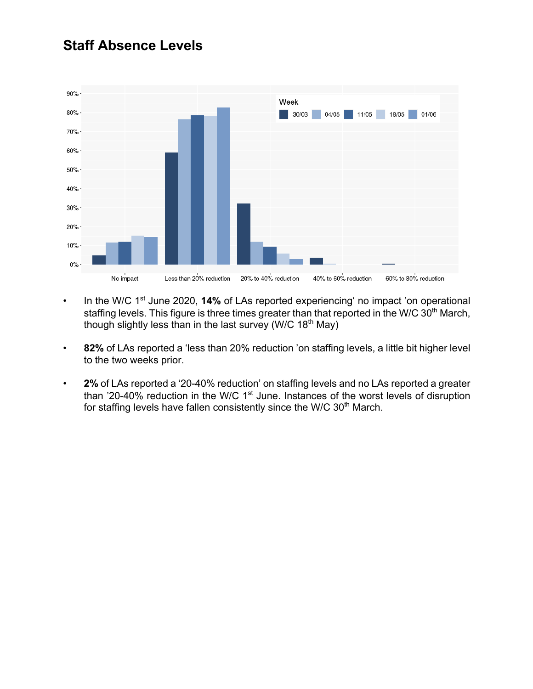# **Staff Absence Levels**



- In the W/C 1<sup>st</sup> June 2020, 14% of LAs reported experiencing' no impact 'on operational staffing levels. This figure is three times greater than that reported in the W/C 30<sup>th</sup> March, though slightly less than in the last survey (W/C  $18<sup>th</sup>$  May)
- **82%** of LAs reported a 'less than 20% reduction 'on staffing levels, a little bit higher level to the two weeks prior.
- **2%** of LAs reported a '20-40% reduction' on staffing levels and no LAs reported a greater than '20-40% reduction in the W/C  $1<sup>st</sup>$  June. Instances of the worst levels of disruption for staffing levels have fallen consistently since the W/C 30<sup>th</sup> March.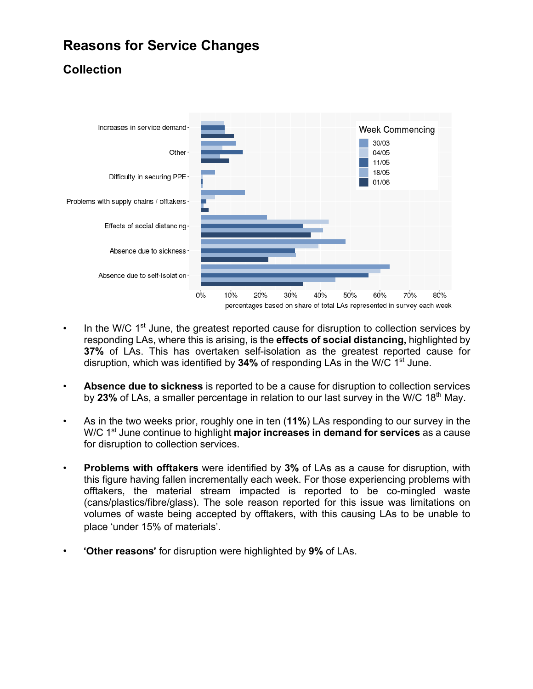# **Reasons for Service Changes**

### **Collection**



- In the W/C  $1<sup>st</sup>$  June, the greatest reported cause for disruption to collection services by responding LAs, where this is arising, is the **effects of social distancing,** highlighted by **37%** of LAs. This has overtaken self-isolation as the greatest reported cause for disruption, which was identified by **34%** of responding LAs in the W/C 1st June.
- **Absence due to sickness** is reported to be a cause for disruption to collection services by 23% of LAs, a smaller percentage in relation to our last survey in the W/C 18<sup>th</sup> May.
- As in the two weeks prior, roughly one in ten (**11%**) LAs responding to our survey in the W/C 1st June continue to highlight **major increases in demand for services** as a cause for disruption to collection services.
- **Problems with offtakers** were identified by **3%** of LAs as a cause for disruption, with this figure having fallen incrementally each week. For those experiencing problems with offtakers, the material stream impacted is reported to be co-mingled waste (cans/plastics/fibre/glass). The sole reason reported for this issue was limitations on volumes of waste being accepted by offtakers, with this causing LAs to be unable to place 'under 15% of materials'.
- '**Other reasons**' for disruption were highlighted by **9%** of LAs.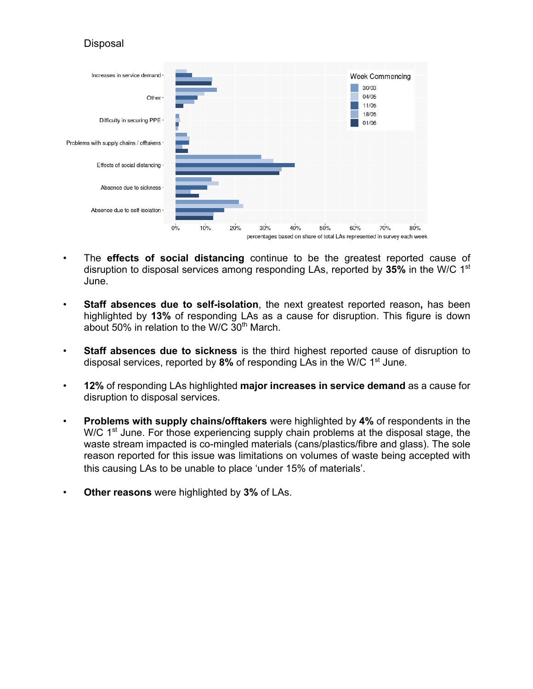#### Disposal



- The **effects of social distancing** continue to be the greatest reported cause of disruption to disposal services among responding LAs, reported by **35%** in the W/C 1st June.
- **Staff absences due to self-isolation**, the next greatest reported reason**,** has been highlighted by **13%** of responding LAs as a cause for disruption. This figure is down about 50% in relation to the W/C  $30<sup>th</sup>$  March.
- **Staff absences due to sickness** is the third highest reported cause of disruption to disposal services, reported by 8% of responding LAs in the W/C 1<sup>st</sup> June.
- **12%** of responding LAs highlighted **major increases in service demand** as a cause for disruption to disposal services.
- **Problems with supply chains/offtakers** were highlighted by **4%** of respondents in the W/C 1<sup>st</sup> June. For those experiencing supply chain problems at the disposal stage, the waste stream impacted is co-mingled materials (cans/plastics/fibre and glass). The sole reason reported for this issue was limitations on volumes of waste being accepted with this causing LAs to be unable to place 'under 15% of materials'.
- **Other reasons** were highlighted by **3%** of LAs.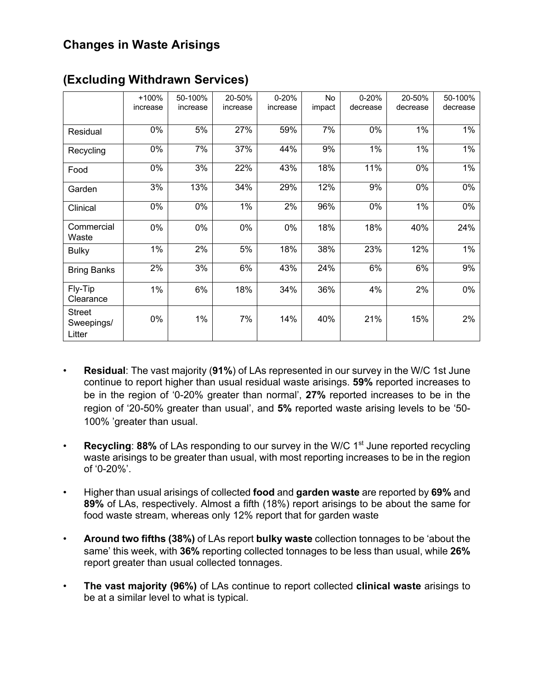### **Changes in Waste Arisings**

|                                       | $+100%$<br>increase | 50-100%<br>increase | 20-50%<br>increase | $0 - 20%$<br>increase | No<br>impact | $0 - 20%$<br>decrease | 20-50%<br>decrease | 50-100%<br>decrease |
|---------------------------------------|---------------------|---------------------|--------------------|-----------------------|--------------|-----------------------|--------------------|---------------------|
| Residual                              | 0%                  | 5%                  | 27%                | 59%                   | 7%           | 0%                    | 1%                 | 1%                  |
| Recycling                             | 0%                  | 7%                  | 37%                | 44%                   | 9%           | 1%                    | 1%                 | 1%                  |
| Food                                  | 0%                  | 3%                  | 22%                | 43%                   | 18%          | 11%                   | 0%                 | $1\%$               |
| Garden                                | 3%                  | 13%                 | 34%                | 29%                   | 12%          | 9%                    | $0\%$              | $0\%$               |
| Clinical                              | 0%                  | 0%                  | 1%                 | 2%                    | 96%          | 0%                    | 1%                 | 0%                  |
| Commercial<br>Waste                   | 0%                  | 0%                  | $0\%$              | 0%                    | 18%          | 18%                   | 40%                | 24%                 |
| <b>Bulky</b>                          | $1\%$               | 2%                  | 5%                 | 18%                   | 38%          | 23%                   | 12%                | $1\%$               |
| <b>Bring Banks</b>                    | 2%                  | 3%                  | 6%                 | 43%                   | 24%          | 6%                    | 6%                 | 9%                  |
| Fly-Tip<br>Clearance                  | 1%                  | 6%                  | 18%                | 34%                   | 36%          | 4%                    | 2%                 | $0\%$               |
| <b>Street</b><br>Sweepings/<br>Litter | 0%                  | 1%                  | 7%                 | 14%                   | 40%          | 21%                   | 15%                | 2%                  |

#### **(Excluding Withdrawn Services)**

- **Residual**: The vast majority (**91%**) of LAs represented in our survey in the W/C 1st June continue to report higher than usual residual waste arisings. **59%** reported increases to be in the region of '0-20% greater than normal', **27%** reported increases to be in the region of '20-50% greater than usual', and **5%** reported waste arising levels to be '50- 100% 'greater than usual.
- **Recycling: 88%** of LAs responding to our survey in the W/C 1<sup>st</sup> June reported recycling waste arisings to be greater than usual, with most reporting increases to be in the region of '0-20%'.
- Higher than usual arisings of collected **food** and **garden waste** are reported by **69%** and **89%** of LAs, respectively. Almost a fifth (18%) report arisings to be about the same for food waste stream, whereas only 12% report that for garden waste
- **Around two fifths (38%)** of LAs report **bulky waste** collection tonnages to be 'about the same' this week, with **36%** reporting collected tonnages to be less than usual, while **26%** report greater than usual collected tonnages.
- **The vast majority (96%)** of LAs continue to report collected **clinical waste** arisings to be at a similar level to what is typical.